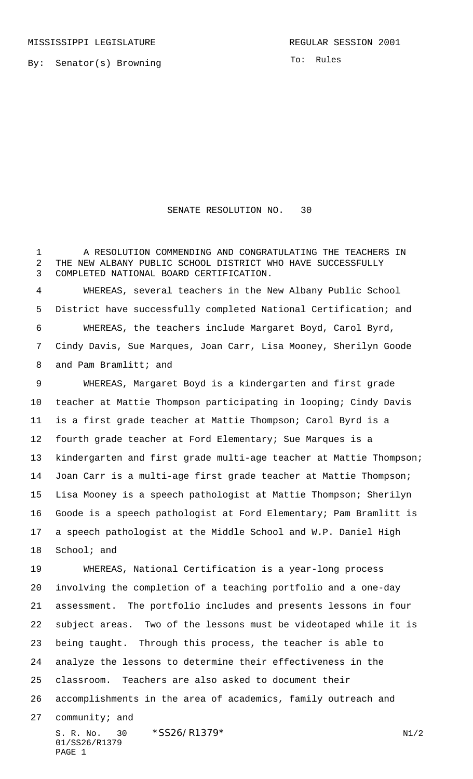MISSISSIPPI LEGISLATURE **REGULAR SESSION 2001** 

By: Senator(s) Browning

To: Rules

## SENATE RESOLUTION NO. 30

 A RESOLUTION COMMENDING AND CONGRATULATING THE TEACHERS IN THE NEW ALBANY PUBLIC SCHOOL DISTRICT WHO HAVE SUCCESSFULLY COMPLETED NATIONAL BOARD CERTIFICATION.

 WHEREAS, several teachers in the New Albany Public School District have successfully completed National Certification; and WHEREAS, the teachers include Margaret Boyd, Carol Byrd, Cindy Davis, Sue Marques, Joan Carr, Lisa Mooney, Sherilyn Goode 8 and Pam Bramlitt; and

 WHEREAS, Margaret Boyd is a kindergarten and first grade teacher at Mattie Thompson participating in looping; Cindy Davis is a first grade teacher at Mattie Thompson; Carol Byrd is a fourth grade teacher at Ford Elementary; Sue Marques is a kindergarten and first grade multi-age teacher at Mattie Thompson; Joan Carr is a multi-age first grade teacher at Mattie Thompson; Lisa Mooney is a speech pathologist at Mattie Thompson; Sherilyn Goode is a speech pathologist at Ford Elementary; Pam Bramlitt is a speech pathologist at the Middle School and W.P. Daniel High School; and

S. R. No.  $30 \times$   $$SS26/R1379*$  N1/2 WHEREAS, National Certification is a year-long process involving the completion of a teaching portfolio and a one-day assessment. The portfolio includes and presents lessons in four subject areas. Two of the lessons must be videotaped while it is being taught. Through this process, the teacher is able to analyze the lessons to determine their effectiveness in the classroom. Teachers are also asked to document their accomplishments in the area of academics, family outreach and community; and

01/SS26/R1379 PAGE 1